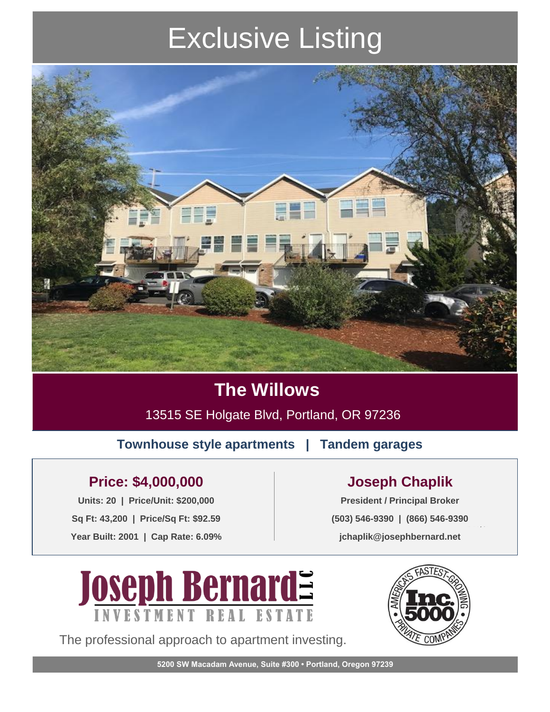# Exclusive Listing



### **The Willows**

13515 SE Holgate Blvd, Portland, OR 97236

**Townhouse style apartments | Tandem garages** 

### **Price: \$4,000,000 Joseph Chaplik**

**Units: 20 | Price/Unit: \$200,000 President / Principal Broker Sq Ft: 43,200 | Price/Sq Ft: \$92.59 Year Built: 2001 | Cap Rate: 6.09%**

#DIV/0! **(503) 546-9390 | (866) 546-9390 jchaplik@josephbernard.net**



The professional approach to apartment investing.